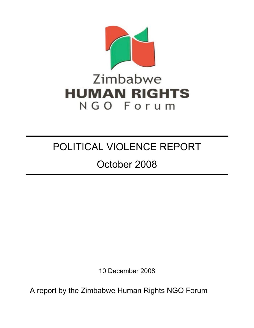

# POLITICAL VIOLENCE REPORT

# October 2008

10 December 2008

A report by the Zimbabwe Human Rights NGO Forum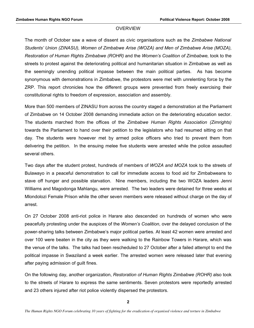### **OVERVIEW**

The month of October saw a wave of dissent as civic organisations such as the Zimbabwe National Students' Union (ZINASU), Women of Zimbabwe Arise (WOZA) and Men of Zimbabwe Arise (MOZA), Restoration of Human Rights Zimbabwe (ROHR) and the Women's Coalition of Zimbabwe, took to the streets to protest against the deteriorating political and humanitarian situation in Zimbabwe as well as the seemingly unending political impasse between the main political parties. As has become synonymous with demonstrations in Zimbabwe, the protestors were met with unrelenting force by the ZRP. This report chronicles how the different groups were prevented from freely exercising their constitutional rights to freedom of expression, association and assembly.

More than 500 members of ZINASU from across the country staged a demonstration at the Parliament of Zimbabwe on 14 October 2008 demanding immediate action on the deteriorating education sector. The students marched from the offices of the Zimbabwe Human Rights Association (Zimrights) towards the Parliament to hand over their petition to the legislators who had resumed sitting on that day. The students were however met by armed police officers who tried to prevent them from delivering the petition. In the ensuing melee five students were arrested while the police assaulted several others.

Two days after the student protest, hundreds of members of WOZA and MOZA took to the streets of Bulawayo in a peaceful demonstration to call for immediate access to food aid for Zimbabweans to stave off hunger and possible starvation. Nine members, including the two WOZA leaders Jenni Williams and Magodonga Mahlangu, were arrested. The two leaders were detained for three weeks at Mlondolozi Female Prison while the other seven members were released without charge on the day of arrest.

On 27 October 2008 anti-riot police in Harare also descended on hundreds of women who were peacefully protesting under the auspices of the *Women's Coalition*, over the delayed conclusion of the power-sharing talks between Zimbabwe's major political parties. At least 42 women were arrested and over 100 were beaten in the city as they were walking to the Rainbow Towers in Harare, which was the venue of the talks. The talks had been rescheduled to 27 October after a failed attempt to end the political impasse in Swaziland a week earlier. The arrested women were released later that evening after paying admission of quilt fines.

On the following day, another organization, Restoration of Human Rights Zimbabwe (ROHR) also took to the streets of Harare to express the same sentiments. Seven protestors were reportedly arrested and 23 others injured after riot police violently dispersed the protestors.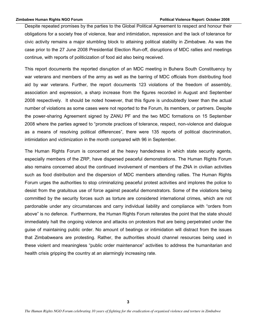Despite repeated promises by the parties to the Global Political Agreement to respect and honour their obligations for a society free of violence, fear and intimidation, repression and the lack of tolerance for civic activity remains a major stumbling block to attaining political stability in Zimbabwe. As was the case prior to the 27 June 2008 Presidential Election Run-off, disruptions of MDC rallies and meetings continue, with reports of politicization of food aid also being received.

This report documents the reported disruption of an MDC meeting in Buhera South Constituency by war veterans and members of the army as well as the barring of MDC officials from distributing food aid by war veterans. Further, the report documents 123 violations of the freedom of assembly, association and expression, a sharp increase from the figures recorded in August and September 2008 respectively. It should be noted however, that this figure is undoubtedly lower than the actual number of violations as some cases were not reported to the Forum, its members, or partners. Despite the power-sharing Agreement signed by ZANU PF and the two MDC formations on 15 September 2008 where the parties agreed to "promote practices of tolerance, respect, non-violence and dialogue as a means of resolving political differences", there were 135 reports of political discrimination, intimidation and victimization in the month compared with 96 in September.

The Human Rights Forum is concerned at the heavy handedness in which state security agents, especially members of the ZRP, have dispersed peaceful demonstrations. The Human Rights Forum also remains concerned about the continued involvement of members of the ZNA in civilian activities such as food distribution and the dispersion of MDC members attending rallies. The Human Rights Forum urges the authorities to stop criminalizing peaceful protest activities and implores the police to desist from the gratuitous use of force against peaceful demonstrators. Some of the violations being committed by the security forces such as torture are considered international crimes, which are not pardonable under any circumstances and carry individual liability and compliance with "orders from above" is no defence. Furthermore, the Human Rights Forum reiterates the point that the state should immediately halt the ongoing violence and attacks on protestors that are being perpetrated under the guise of maintaining public order. No amount of beatings or intimidation will distract from the issues that Zimbabweans are protesting. Rather, the authorities should channel resources being used in these violent and meaningless "public order maintenance" activities to address the humanitarian and health crisis gripping the country at an alarmingly increasing rate.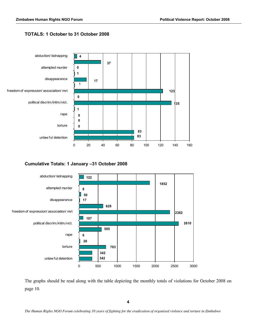# **TOTALS: 1 October to 31 October 2008**



# **Cumulative Totals: 1 January -31 October 2008**



The graphs should be read along with the table depicting the monthly totals of violations for October 2008 on page 10.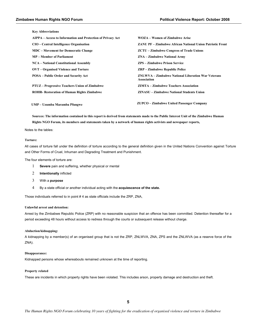**Key Abbreviations** 

| AIPPA – Access to Information and Protection of Privacy Act | <b>WOZA – Women of Zimbabwe Arise</b>                             |
|-------------------------------------------------------------|-------------------------------------------------------------------|
| CIO - Central Intelligence Organisation                     | <b>ZANU PF – Zimbabwe African National Union Patriotic Front</b>  |
| <b>MDC</b> – Movement for Democratic Change                 | <b>ZCTU</b> – <b>Zimbabwe Congress of Trade Unions</b>            |
| <b>MP</b> – Member of Parliament                            | <b>ZNA</b> – <b>Zimbabwe National Army</b>                        |
| <b>NCA – National Constitutional Assembly</b>               | <b>ZPS</b> – <b>Zimbabwe Prison Service</b>                       |
| OVT – Organised Violence and Torture                        | <b>ZRP</b> – Zimbabwe Republic Police                             |
| <b>POSA</b> – Public Order and Security Act                 | ZNLWVA – Zimbabwe National Liberation War Veterans<br>Association |
| <b>PTUZ</b> – Progressive Teachers Union of Zimbabwe        | <b>ZIMTA – Zimbabwe Teachers Association</b>                      |
| <b>ROHR- Restoration of Human Rights Zimbabwe</b>           | <b>ZINASU – Zimbabwe National Students Union</b>                  |
| UMP – Uzumba Maramba Pfungwe                                | <b>ZUPCO</b> – Zimbabwe United Passenger Company                  |

Sources: The information contained in this report is derived from statements made to the Public Interest Unit of the Zimbabwe Human Rights NGO Forum, its members and statements taken by a network of human rights activists and newspaper reports,

Notes to the tables:

#### **Torture:**

All cases of torture fall under the definition of torture according to the general definition given in the United Nations Convention against Torture and Other Forms of Cruel, Inhuman and Degrading Treatment and Punishment.

The four elements of torture are:

- $\mathbf{1}$ Severe pain and suffering, whether physical or mental
- $\overline{2}$ Intentionally inflicted
- $\overline{3}$ With a purpose
- $\overline{4}$ By a state official or another individual acting with the acquiescence of the state.

Those individuals referred to in point #4 as state officials include the ZRP, ZNA,

#### Unlawful arrest and detention:

Arrest by the Zimbabwe Republic Police (ZRP) with no reasonable suspicion that an offence has been committed. Detention thereafter for a period exceeding 48 hours without access to redress through the courts or subsequent release without charge.

#### Abduction/kidnapping:

A kidnapping by a member(s) of an organised group that is not the ZRP, ZNLWVA, ZNA, ZPS and the ZNLWVA (as a reserve force of the ZNA).

#### Disappearance:

Kidnapped persons whose whereabouts remained unknown at the time of reporting.

#### **Property related**

These are incidents in which property rights have been violated. This includes arson, property damage and destruction and theft.

5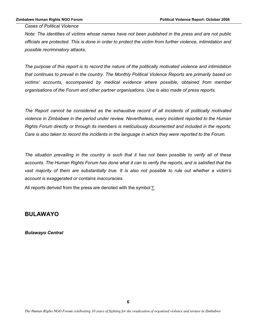**Cases of Political Violence** 

Note: The identities of victims whose names have not been published in the press and are not public officials are protected. This is done in order to protect the victim from further violence, intimidation and possible recriminatory attacks.

The purpose of this report is to record the nature of the politically motivated violence and intimidation that continues to prevail in the country. The Monthly Political Violence Reports are primarily based on victims' accounts, accompanied by medical evidence where possible, obtained from member organisations of the Forum and other partner organisations. Use is also made of press reports.

The Report cannot be considered as the exhaustive record of all incidents of politically motivated violence in Zimbabwe in the period under review. Nevertheless, every incident reported to the Human Rights Forum directly or through its members is meticulously documented and included in the reports. Care is also taken to record the incidents in the language in which they were reported to the Forum.

The situation prevailing in the country is such that it has not been possible to verify all of these accounts. The Human Rights Forum has done what it can to verify the reports, and is satisfied that the vast majority of them are substantially true. It is also not possible to rule out whether a victim's account is exaggerated or contains inaccuracies.

All reports derived from the press are denoted with the symbol  $\Sigma$ 

# **BULAWAYO**

**Bulawayo Central**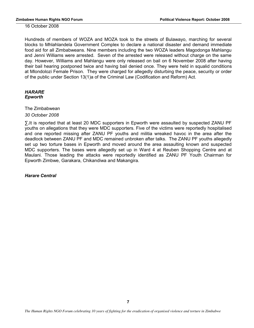16 October 2008

Hundreds of members of WOZA and MOZA took to the streets of Bulawayo, marching for several blocks to Mhlahlandela Government Complex to declare a national disaster and demand immediate food aid for all Zimbabweans. Nine members including the two WOZA leaders Magodonga Mahlangu and Jenni Williams were arrested. Seven of the arrested were released without charge on the same day. However, Williams and Mahlangu were only released on bail on 6 November 2008 after having their bail hearing postponed twice and having bail denied once. They were held in squalid conditions at Mlondolozi Female Prison. They were charged for allegedly disturbing the peace, security or order of the public under Section 13(1)a of the Criminal Law (Codification and Reform) Act.

## **HARARE** Epworth

The Zimbabwean

30 October 2008

∑.It is reported that at least 20 MDC supporters in Epworth were assaulted by suspected ZANU PF youths on allegations that they were MDC supporters. Five of the victims were reportedly hospitalised and one reported missing after ZANU PF youths and militia wreaked havoc in the area after the deadlock between ZANU PF and MDC remained unbroken after talks. The ZANU PF youths allegedly set up two torture bases in Epworth and moved around the area assaulting known and suspected MDC supporters. The bases were allegedly set up in Ward 4 at Reuben Shopping Centre and at Maulani. Those leading the attacks were reportedly identified as ZANU PF Youth Chairman for Epworth Zimbwe, Garakara, Chikandiwa and Makangira.

**Harare Central**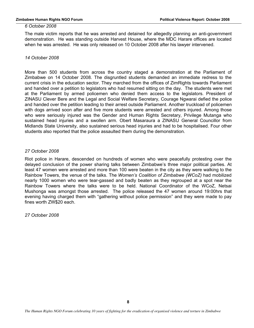#### 6 October 2008

The male victim reports that he was arrested and detained for allegedly planning an anti-government demonstration. He was standing outside Harvest House, where the MDC Harare offices are located when he was arrested. He was only released on 10 October 2008 after his lawyer intervened.

#### 14 October 2008

More than 500 students from across the country staged a demonstration at the Parliament of Zimbabwe on 14 October 2008. The disgruntled students demanded an immediate redress to the current crisis in the education sector. They marched from the offices of ZimRights towards Parliament and handed over a petition to legislators who had resumed sitting on the day. The students were met at the Parliament by armed policemen who denied them access to the legislators. President of ZINASU Clever Bere and the Legal and Social Welfare Secretary, Courage Ngwarai defied the police and handed over the petition leading to their arrest outside Parliament. Another truckload of policemen with dogs arrived soon after and five more students were arrested and others injured. Among those who were seriously injured was the Gender and Human Rights Secretary, Privilege Mutanga who sustained head injuries and a swollen arm. Obert Masaraura a ZINASU General Councillor from Midlands State University, also sustained serious head injuries and had to be hospitalised. Four other students also reported that the police assaulted them during the demonstration.

### 27 October 2008

Riot police in Harare, descended on hundreds of women who were peacefully protesting over the delayed conclusion of the power sharing talks between Zimbabwe's three major political parties. At least 47 women were arrested and more than 100 were beaten in the city as they were walking to the Rainbow Towers, the venue of the talks. The Women's Coalition of Zimbabwe (WCoZ) had mobilized nearly 1000 women who were tear-gassed and badly beaten as they regrouped at a spot near the Rainbow Towers where the talks were to be held. National Coordinator of the WCoZ, Netsai Mushonga was amongst those arrested. The police released the 47 women around 19:00 hrs that evening having charged them with "gathering without police permission" and they were made to pay fines worth ZW\$20 each.

*27 October 2008*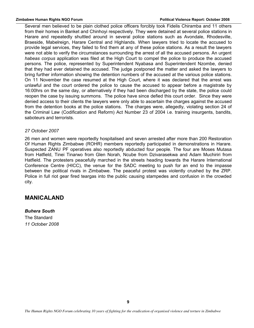#### **!"#\$%\$&'()\*#%+(,"-./0(123(456\*# 758"/"9%8(:"58'+9'(,';56/<(39/5\$'6(=>>?(**

Several men believed to be plain clothed police officers forcibly took Fidelis Chiramba and 11 others from their homes in Banket and Chinhovi respectively. They were detained at several police stations in Harare and repeatedly shuttled around in several police stations such as Avondale. Rhodesville, Braeside, Mabelreign, Harare Central and Highlands. When lawyers tried to locate the accused to provide legal services, they failed to find them at any of these police stations. As a result the lawyers were not able to verify the circumstances surrounding the arrest of all the accused persons. An urgent *habeas corpus* application was filed at the High Court to compel the police to produce the accused persons. The police, represented by Superintendent Nyabasa and Superintendent Nzombe, denied that they had ever detained the accused. The judge postponed the matter and asked the lawyers to bring further information showing the detention numbers of the accused at the various police stations. On 11 November the case resumed at the High Court, where it was declared that the arrest was unlawful and the court ordered the police to cause the accused to appear before a magistrate by 16:00hrs on the same day, or alternatively if they had been discharged by the state, the police could reopen the case by issuing summons. The police have since defied this court order. Since they were denied access to their clients the lawyers were only able to ascertain the charges against the accused from the detention books at the police stations. The charges were, allegedly, violating section 24 of the Criminal Law (Codification and Reform) Act Number 23 of 2004 i.e. training insurgents, bandits, saboteurs and terrorists.

## 27 October 2007

26 men and women were reportedly hospitalised and seven arrested after more than 200 Restoration Of Human Rights Zimbabwe (ROHR) members reportedly participated in demonstrations in Harare. Suspected ZANU PF operatives also reportedly abducted four people. The four are Moses Mutasa from Hatfield, Tinei Tinarwo from Glen Norah, Ncube from Dzivarasekwa and Adam Muchiriri from Hatfield. The protesters peacefully marched in the streets heading towards the Harare International Conference Centre (HICC), the venue for the SADC meeting to push for an end to the impasse between the political rivals in Zimbabwe. The peaceful protest was violently crushed by the ZRP. Police in full riot gear fired teargas into the public causing stampedes and confusion in the crowded city.

# **MANICALAND**

**Buhera South** The Standard

11 October 2008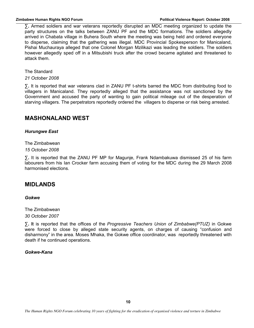$\Sigma$ . Armed soldiers and war veterans reportedly disrupted an MDC meeting organized to update the party structures on the talks between ZANU PF and the MDC formations. The soldiers allegedly arrived in Chabata village in Buhera South where the meeting was being held and ordered everyone to disperse, claiming that the gathering was illegal. MDC Provincial Spokesperson for Manicaland, Pishai Muchauraya alleged that one Colonel Morgan Mzilikazi was leading the soldiers. The soldiers however allegedly sped off in a Mitsubishi truck after the crowd became agitated and threatened to attack them.

The Standard

21 October 2008

 $\Sigma$ . It is reported that war veterans clad in ZANU PF t-shirts barred the MDC from distributing food to villagers in Manicaland. They reportedly alleged that the assistance was not sanctioned by the Government and accused the party of wanting to gain political mileage out of the desperation of starving villagers. The perpetrators reportedly ordered the villagers to disperse or risk being arrested.

# **MASHONALAND WEST**

# **Hurungwe East**

The Zimbabwean 15 October 2008

 $\Sigma$ . It is reported that the ZANU PF MP for Magunje, Frank Ndambakuwa dismissed 25 of his farm labourers from his lan Crocker farm accusing them of voting for the MDC during the 29 March 2008 harmonised elections.

# **MIDLANDS**

# Gokwe

The Zimbabwean 30 October 2007

**X.** It is reported that the offices of the *Progressive Teachers Union of Zimbabwe(PTUZ)* in Gokwe were forced to close by alleged state security agents, on charges of causing "confusion and disharmony" in the area. Moses Mhaka, the Gokwe office coordinator, was reportedly threatened with death if he continued operations.

# Gokwe-Kana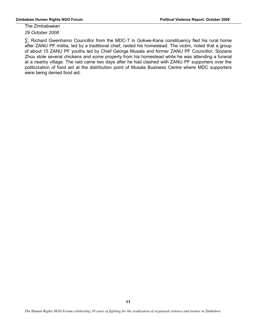The Zimbabwean 29 October 2008

 $\Sigma$ . Richard Gwenhamo Councillor from the MDC-T in Gokwe-Kana constituency fled his rural home after ZANU PF militia, led by a traditional chief, raided his homestead. The victim, noted that a group of about 15 ZANU PF youths led by Chief George Musala and former ZANU PF Councillor, Siozane Zhou stole several chickens and some property from his homestead while he was attending a funeral at a nearby village. The raid came two days after he had clashed with ZANU PF supporters over the politicization of food aid at the distribution point of Musala Business Centre where MDC supporters were being denied food aid.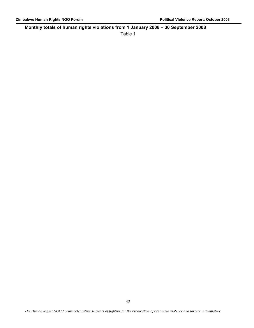# **Monthly totals of human rights violations from 1 January 2008 - 30 September 2008**

Table 1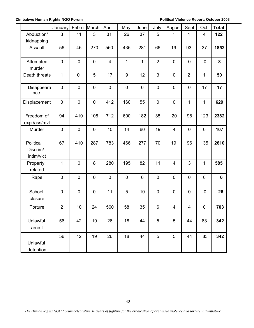**2 Zimbabwe Human Rights NGO Forum 1988 12008 1998 12008 Political Violence Report: October 2008** 

|                                     | <b>January</b>   | Febru       | March       | April                   | May              | June      | July           | August                  | Sept           | Oct              | <b>Total</b> |
|-------------------------------------|------------------|-------------|-------------|-------------------------|------------------|-----------|----------------|-------------------------|----------------|------------------|--------------|
| Abduction/<br>kidnapping            | 3                | 11          | 3           | 31                      | 26               | 37        | 5              | 1                       | 1              | 4                | 122          |
| Assault                             | 56               | 45          | 270         | 550                     | 435              | 281       | 66             | 19                      | 93             | 37               | 1852         |
| Attempted<br>murder                 | $\mathbf 0$      | $\pmb{0}$   | $\pmb{0}$   | $\overline{\mathbf{4}}$ | 1                | 1         | $\overline{2}$ | $\pmb{0}$               | $\mathbf 0$    | $\boldsymbol{0}$ | 8            |
| Death threats                       | $\mathbf{1}$     | $\mathbf 0$ | 5           | 17                      | $\boldsymbol{9}$ | 12        | 3              | 0                       | $\overline{2}$ | $\mathbf{1}$     | 50           |
| Disappeara<br>nce                   | $\boldsymbol{0}$ | $\pmb{0}$   | $\pmb{0}$   | $\pmb{0}$               | $\pmb{0}$        | $\pmb{0}$ | $\pmb{0}$      | $\pmb{0}$               | $\pmb{0}$      | 17               | 17           |
| Displacement                        | $\mathsf 0$      | $\pmb{0}$   | $\mathbf 0$ | 412                     | 160              | 55        | $\mathsf 0$    | $\pmb{0}$               | 1              | $\mathbf{1}$     | 629          |
| Freedom of<br>expr/ass/mvt          | 94               | 410         | 108         | 712                     | 600              | 182       | 35             | 20                      | 98             | 123              | 2382         |
| Murder                              | $\mathbf 0$      | $\mathbf 0$ | $\mathbf 0$ | 10                      | 14               | 60        | 19             | $\overline{4}$          | $\mathbf 0$    | $\mathbf 0$      | 107          |
| Political<br>Discrim/<br>intim/vict | 67               | 410         | 287         | 783                     | 466              | 277       | 70             | 19                      | 96             | 135              | 2610         |
| Property<br>related                 | 1                | $\mathbf 0$ | 8           | 280                     | 195              | 82        | 11             | $\overline{\mathbf{4}}$ | 3              | 1                | 585          |
| Rape                                | $\mathbf 0$      | $\mathbf 0$ | $\mathbf 0$ | $\mathbf 0$             | $\mathbf 0$      | $\,6\,$   | $\mathbf 0$    | $\pmb{0}$               | $\mathbf 0$    | $\mathbf 0$      | 6            |
| School<br>closure                   | $\mathbf 0$      | $\pmb{0}$   | $\mathbf 0$ | 11                      | 5                | 10        | $\mathsf 0$    | $\pmb{0}$               | $\mathbf 0$    | $\mathbf 0$      | 26           |
| Torture                             | $\overline{2}$   | 10          | 24          | 560                     | 58               | 35        | 6              | 4                       | 4              | $\pmb{0}$        | 703          |
| Unlawful<br>arrest                  | 56               | 42          | 19          | 26                      | 18               | 44        | 5              | 5                       | 44             | 83               | 342          |
| Unlawful<br>detention               | 56               | 42          | 19          | 26                      | 18               | 44        | 5              | 5                       | 44             | 83               | 342          |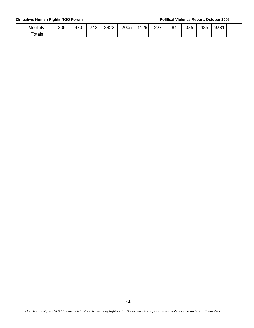### **2 Zimbabwe Human Rights NGO Forum 1988 12008 1998 12008 Political Violence Report: October 2008**

| Monthly      | 336 | 970 | 743 | 3422 | 2005 | 1126<br>∼∽ | つつフ<br>ا عط | $\Omega$<br>$\mathbf{o}$ . | 385 | 485 | 9781 |
|--------------|-----|-----|-----|------|------|------------|-------------|----------------------------|-----|-----|------|
| $\tau$ otals |     |     |     |      |      |            |             |                            |     |     |      |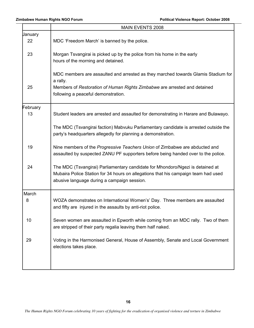|          | MAIN EVENTS 2008                                                                                                                                                                                                    |
|----------|---------------------------------------------------------------------------------------------------------------------------------------------------------------------------------------------------------------------|
| Uanuary  |                                                                                                                                                                                                                     |
| 22       | MDC 'Freedom March' is banned by the police.                                                                                                                                                                        |
| 23       | Morgan Tsvangirai is picked up by the police from his home in the early<br>hours of the morning and detained.                                                                                                       |
|          | MDC members are assaulted and arrested as they marched towards Glamis Stadium for<br>a rally.                                                                                                                       |
| 25       | Members of Restoration of Human Rights Zimbabwe are arrested and detained<br>following a peaceful demonstration.                                                                                                    |
| February |                                                                                                                                                                                                                     |
| 13       | Student leaders are arrested and assaulted for demonstrating in Harare and Bulawayo.                                                                                                                                |
|          | The MDC (Tsvangirai faction) Mabvuku Parliamentary candidate is arrested outside the<br>party's headquarters allegedly for planning a demonstration.                                                                |
| 19       | Nine members of the Progressive Teachers Union of Zimbabwe are abducted and<br>assaulted by suspected ZANU PF supporters before being handed over to the police.                                                    |
| 24       | The MDC (Tsvangirai) Parliamentary candidate for Mhondoro/Ngezi is detained at<br>Mubaira Police Station for 34 hours on allegations that his campaign team had used<br>abusive language during a campaign session. |
| March    |                                                                                                                                                                                                                     |
| 8        | WOZA demonstrates on International Women's' Day. Three members are assaulted<br>and fifty are injured in the assaults by anti-riot police.                                                                          |
| 10       | Seven women are assaulted in Epworth while coming from an MDC rally. Two of them<br>are stripped of their party regalia leaving them half naked.                                                                    |
| 29       | Voting in the Harmonised General, House of Assembly, Senate and Local Government<br>elections takes place.                                                                                                          |
|          |                                                                                                                                                                                                                     |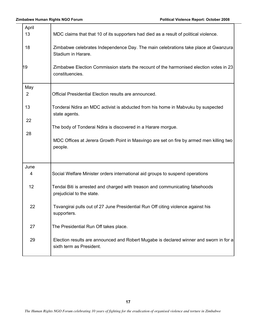┯

| April<br>13<br>18<br>19<br>May<br>$\overline{2}$ | MDC claims that that 10 of its supporters had died as a result of political violence.<br>Zimbabwe celebrates Independence Day. The main celebrations take place at Gwanzura<br>Stadium in Harare.<br>Zimbabwe Election Commission starts the recount of the harmonised election votes in 23<br>constituencies.<br>Official Presidential Election results are announced. |
|--------------------------------------------------|-------------------------------------------------------------------------------------------------------------------------------------------------------------------------------------------------------------------------------------------------------------------------------------------------------------------------------------------------------------------------|
| 13<br>22<br>28                                   | Tonderai Ndira an MDC activist is abducted from his home in Mabvuku by suspected<br>state agents.<br>The body of Tonderai Ndira is discovered in a Harare morgue.<br>MDC Offices at Jerera Growth Point in Masvingo are set on fire by armed men killing two<br>people.                                                                                                 |
| June<br>4                                        | Social Welfare Minister orders international aid groups to suspend operations                                                                                                                                                                                                                                                                                           |
| 12<br>22                                         | Tendai Biti is arrested and charged with treason and communicating falsehoods<br>prejudicial to the state.<br>Tsvangirai pulls out of 27 June Presidential Run Off citing violence against his<br>supporters.                                                                                                                                                           |
| 27<br>29                                         | The Presidential Run Off takes place.<br>Election results are announced and Robert Mugabe is declared winner and sworn in for a<br>sixth term as President.                                                                                                                                                                                                             |
|                                                  |                                                                                                                                                                                                                                                                                                                                                                         |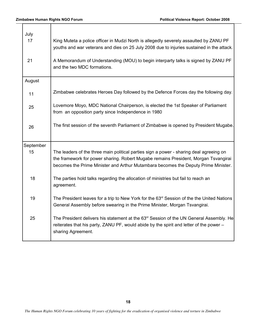| July<br>17<br>21 | King Muteta a police officer in Mudzi North is allegedly severely assaulted by ZANU PF<br>youths and war veterans and dies on 25 July 2008 due to injuries sustained in the attack.<br>A Memorandum of Understanding (MOU) to begin interparty talks is signed by ZANU PF<br>and the two MDC formations. |
|------------------|----------------------------------------------------------------------------------------------------------------------------------------------------------------------------------------------------------------------------------------------------------------------------------------------------------|
| August           |                                                                                                                                                                                                                                                                                                          |
| 11               | Zimbabwe celebrates Heroes Day followed by the Defence Forces day the following day.                                                                                                                                                                                                                     |
| 25               | Lovemore Moyo, MDC National Chairperson, is elected the 1st Speaker of Parliament<br>from an opposition party since Independence in 1980                                                                                                                                                                 |
| 26               | The first session of the seventh Parliament of Zimbabwe is opened by President Mugabe.                                                                                                                                                                                                                   |
| September        |                                                                                                                                                                                                                                                                                                          |
| 15               | The leaders of the three main political parties sign a power - sharing deal agreeing on<br>the framework for power sharing. Robert Mugabe remains President, Morgan Tsvangirai<br>becomes the Prime Minister and Arthur Mutambara becomes the Deputy Prime Minister.                                     |
| 18               | The parties hold talks regarding the allocation of ministries but fail to reach an<br>agreement.                                                                                                                                                                                                         |
| 19               | The President leaves for a trip to New York for the 63 <sup>rd</sup> Session of the the United Nations<br>General Assembly before swearing in the Prime Minister, Morgan Tsvangirai.                                                                                                                     |
| 25               | The President delivers his statement at the $63rd$ Session of the UN General Assembly. He<br>reiterates that his party, ZANU PF, would abide by the spirit and letter of the power –<br>sharing Agreement.                                                                                               |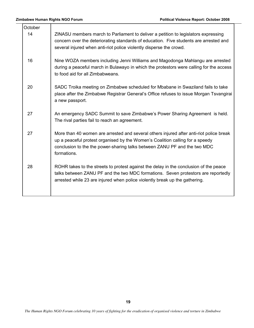| October |                                                                                                                                                                                                                                                                      |
|---------|----------------------------------------------------------------------------------------------------------------------------------------------------------------------------------------------------------------------------------------------------------------------|
| 14      | ZINASU members march to Parliament to deliver a petition to legislators expressing<br>concern over the deteriorating standards of education. Five students are arrested and<br>several injured when anti-riot police violently disperse the crowd.                   |
| 16      | Nine WOZA members including Jenni Williams and Magodonga Mahlangu are arrested<br>during a peaceful march in Bulawayo in which the protestors were calling for the access<br>to food aid for all Zimbabweans.                                                        |
| 20      | SADC Troika meeting on Zimbabwe scheduled for Mbabane in Swaziland fails to take<br>place after the Zimbabwe Registrar General's Office refuses to issue Morgan Tsvangirai<br>a new passport.                                                                        |
| 27      | An emergency SADC Summit to save Zimbabwe's Power Sharing Agreement is held.<br>The rival parties fail to reach an agreement.                                                                                                                                        |
| 27      | More than 40 women are arrested and several others injured after anti-riot police break<br>up a peaceful protest organised by the Women's Coalition calling for a speedy<br>conclusion to the the power-sharing talks between ZANU PF and the two MDC<br>formations. |
| 28      | ROHR takes to the streets to protest against the delay in the conclusion of the peace<br>talks between ZANU PF and the two MDC formations. Seven protestors are reportedly<br>arrested while 23 are injured when police violently break up the gathering.            |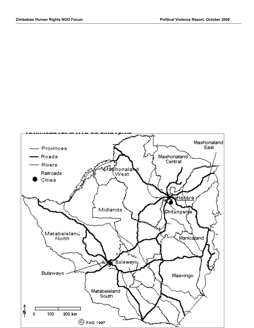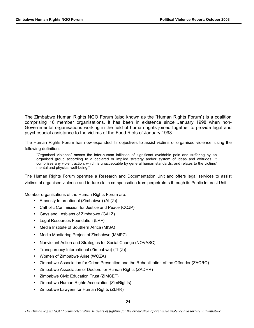The Zimbabwe Human Rights NGO Forum (also known as the "Human Rights Forum") is a coalition comprising 16 member organisations. It has been in existence since January 1998 when non-Governmental organisations working in the field of human rights joined together to provide legal and psychosocial assistance to the victims of the Food Riots of January 1998.

The Human Rights Forum has now expanded its objectives to assist victims of organised violence, using the following definition:

"Organised violence" means the inter-human infliction of significant avoidable pain and suffering by an organised group according to a declared or implied strategy and/or system of ideas and attitudes. It comprises any violent action, which is unacceptable by general human standards, and relates to the victims' mental and physical well-being."

The Human Rights Forum operates a Research and Documentation Unit and offers legal services to assist victims of organised violence and torture claim compensation from perpetrators through its Public Interest Unit.

Member organisations of the Human Rights Forum are:

- Amnesty International (Zimbabwe) (AI  $(Z)$ )
- Catholic Commission for Justice and Peace (CCJP)
- Gays and Lesbians of Zimbabwe (GALZ)
- Legal Resources Foundation (LRF)
- Media Institute of Southern Africa (MISA)
- Media Monitoring Project of Zimbabwe (MMPZ)
- Nonviolent Action and Strategies for Social Change (NOVASC)
- Transparency International (Zimbabwe) (TI $(Z)$ )
- Women of Zimbabwe Arise (WOZA)
- Zimbabwe Association for Crime Prevention and the Rehabilitation of the Offender (ZACRO)
- Zimbabwe Association of Doctors for Human Rights (ZADHR)
- Zimbabwe Civic Education Trust (ZIMCET)
- Zimbabwe Human Rights Association (ZimRights)
- Zimbabwe Lawyers for Human Rights (ZLHR)